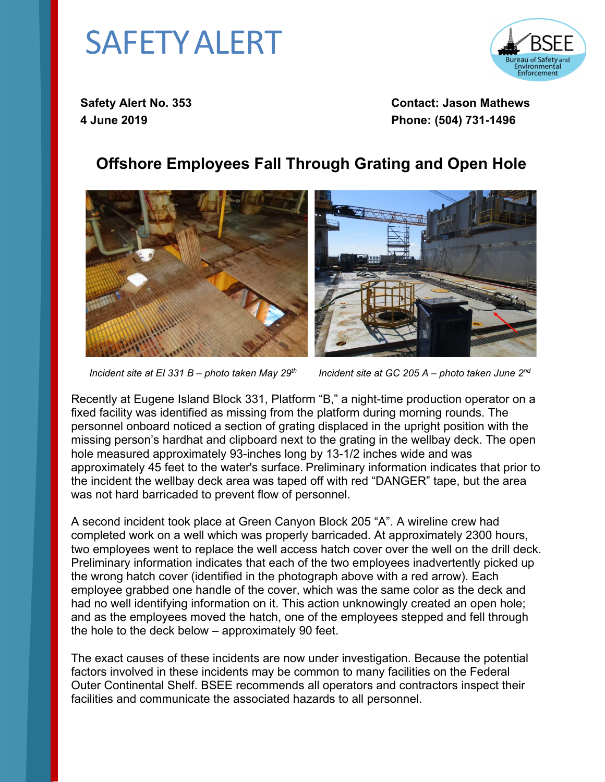## SAFETYALERT



**Safety Alert No. 353 Contact: Jason Mathews 4 June 2019 Phone: (504) 731-1496**

## **Offshore Employees Fall Through Grating and Open Hole**



 *Incident site at EI 331 B – photo taken May 29th Incident site at GC 205 A – photo taken June 2nd*

Recently at Eugene Island Block 331, Platform "B," a night-time production operator on a fixed facility was identified as missing from the platform during morning rounds. The personnel onboard noticed a section of grating displaced in the upright position with the missing person's hardhat and clipboard next to the grating in the wellbay deck. The open hole measured approximately 93-inches long by 13-1/2 inches wide and was approximately 45 feet to the water's surface. Preliminary information indicates that prior to the incident the wellbay deck area was taped off with red "DANGER" tape, but the area was not hard barricaded to prevent flow of personnel.

A second incident took place at Green Canyon Block 205 "A". A wireline crew had completed work on a well which was properly barricaded. At approximately 2300 hours, two employees went to replace the well access hatch cover over the well on the drill deck. Preliminary information indicates that each of the two employees inadvertently picked up the wrong hatch cover (identified in the photograph above with a red arrow). Each employee grabbed one handle of the cover, which was the same color as the deck and had no well identifying information on it. This action unknowingly created an open hole; and as the employees moved the hatch, one of the employees stepped and fell through the hole to the deck below – approximately 90 feet.

The exact causes of these incidents are now under investigation. Because the potential factors involved in these incidents may be common to many facilities on the Federal Outer Continental Shelf. BSEE recommends all operators and contractors inspect their facilities and communicate the associated hazards to all personnel.